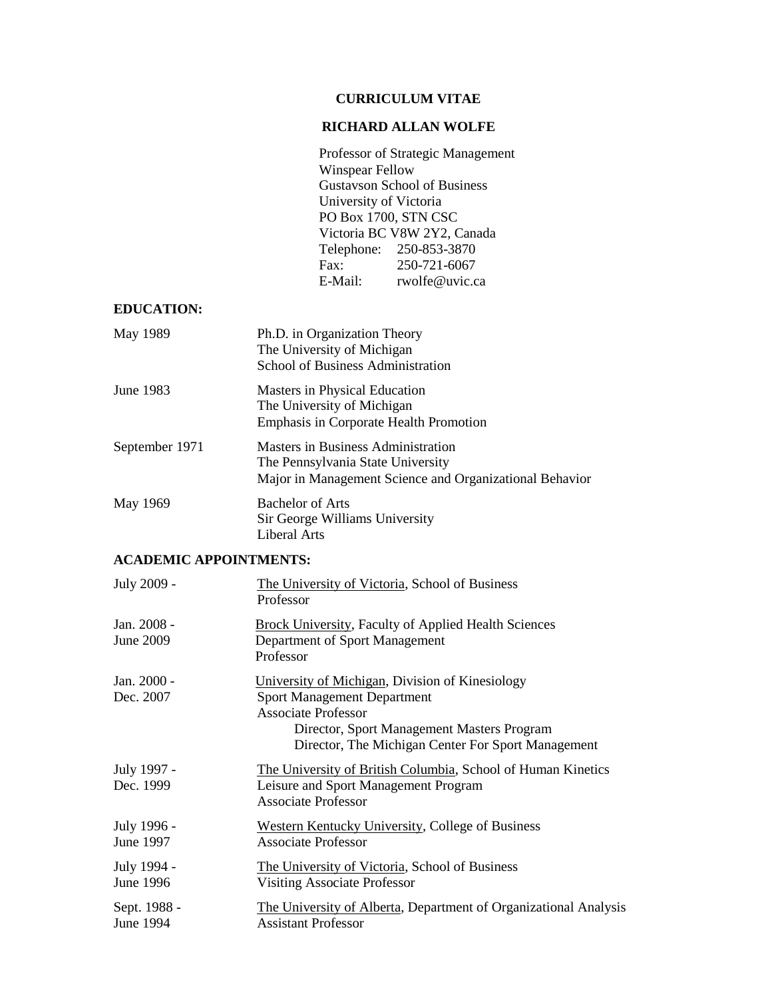## **CURRICULUM VITAE**

## **RICHARD ALLAN WOLFE**

Professor of Strategic Management Winspear Fellow Gustavson School of Business University of Victoria PO Box 1700, STN CSC Victoria BC V8W 2Y2, Canada Telephone: 250-853-3870 Fax: 250-721-6067<br>E-Mail: rwolfe@uvic.c rwolfe@uvic.ca

## **EDUCATION:**

| May 1989       | Ph.D. in Organization Theory<br>The University of Michigan<br>School of Business Administration                                           |
|----------------|-------------------------------------------------------------------------------------------------------------------------------------------|
| June 1983      | Masters in Physical Education<br>The University of Michigan<br><b>Emphasis in Corporate Health Promotion</b>                              |
| September 1971 | <b>Masters in Business Administration</b><br>The Pennsylvania State University<br>Major in Management Science and Organizational Behavior |
| May 1969       | <b>Bachelor of Arts</b><br>Sir George Williams University<br>Liberal Arts                                                                 |

#### **ACADEMIC APPOINTMENTS:**

| July 2009 -               | The University of Victoria, School of Business<br>Professor                                                                                                                                                             |
|---------------------------|-------------------------------------------------------------------------------------------------------------------------------------------------------------------------------------------------------------------------|
| Jan. 2008 -<br>June 2009  | <b>Brock University, Faculty of Applied Health Sciences</b><br>Department of Sport Management<br>Professor                                                                                                              |
| Jan. 2000 -<br>Dec. 2007  | University of Michigan, Division of Kinesiology<br><b>Sport Management Department</b><br><b>Associate Professor</b><br>Director, Sport Management Masters Program<br>Director, The Michigan Center For Sport Management |
| July 1997 -<br>Dec. 1999  | The University of British Columbia, School of Human Kinetics<br>Leisure and Sport Management Program<br><b>Associate Professor</b>                                                                                      |
| July 1996 -<br>June 1997  | <b>Western Kentucky University, College of Business</b><br><b>Associate Professor</b>                                                                                                                                   |
| July 1994 -<br>June 1996  | The University of Victoria, School of Business<br>Visiting Associate Professor                                                                                                                                          |
| Sept. 1988 -<br>June 1994 | The University of Alberta, Department of Organizational Analysis<br><b>Assistant Professor</b>                                                                                                                          |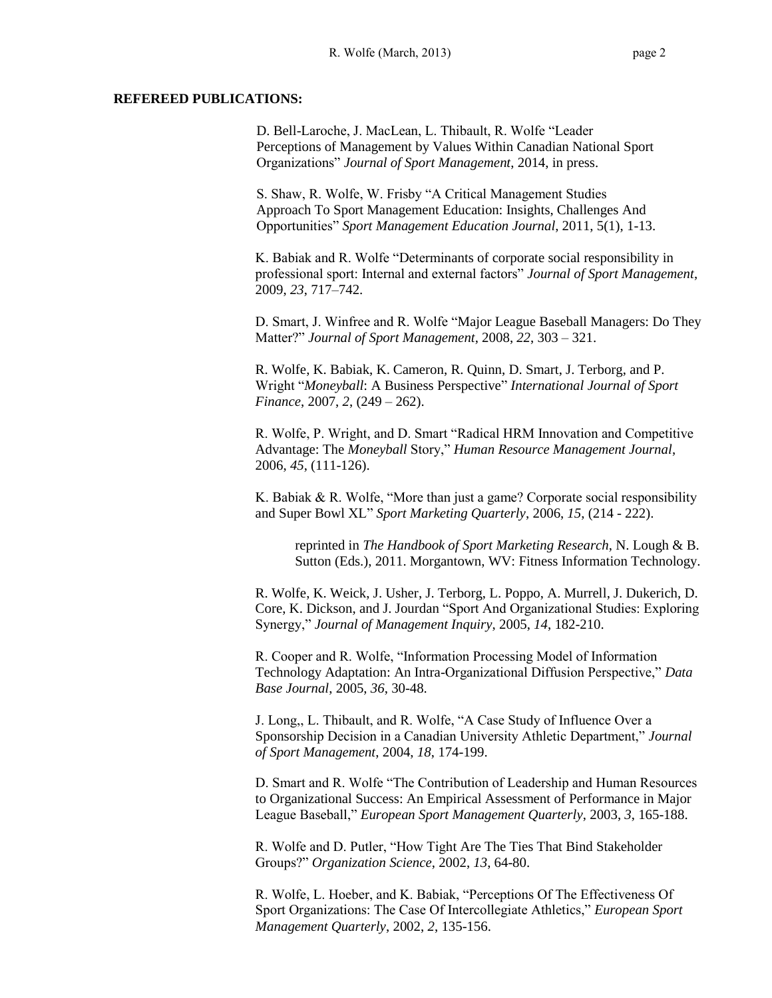#### **REFEREED PUBLICATIONS:**

D. Bell-Laroche, J. MacLean, L. Thibault, R. Wolfe "Leader Perceptions of Management by Values Within Canadian National Sport Organizations" *Journal of Sport Management*, 2014, in press.

S. Shaw, R. Wolfe, W. Frisby "A Critical Management Studies Approach To Sport Management Education: Insights, Challenges And Opportunities" *Sport Management Education Journal*, 2011, 5(1), 1-13.

K. Babiak and R. Wolfe "Determinants of corporate social responsibility in professional sport: Internal and external factors" *Journal of Sport Management*, 2009, *23*, 717–742.

D. Smart, J. Winfree and R. Wolfe "Major League Baseball Managers: Do They Matter?" *Journal of Sport Management*, 2008, *22*, 303 – 321.

R. Wolfe, K. Babiak, K. Cameron, R. Quinn, D. Smart, J. Terborg, and P. Wright "*Moneyball*: A Business Perspective" *International Journal of Sport Finance*, 2007, *2*, (249 – 262).

R. Wolfe, P. Wright, and D. Smart "Radical HRM Innovation and Competitive Advantage: The *Moneyball* Story," *Human Resource Management Journal*, 2006, *45*, (111-126).

K. Babiak & R. Wolfe, "More than just a game? Corporate social responsibility and Super Bowl XL" *Sport Marketing Quarterly*, 2006, *15*, (214 - 222).

reprinted in *The Handbook of Sport Marketing Research*, N. Lough & B. Sutton (Eds.), 2011. Morgantown, WV: Fitness Information Technology.

R. Wolfe, K. Weick, J. Usher, J. Terborg, L. Poppo, A. Murrell, J. Dukerich, D. Core, K. Dickson, and J. Jourdan "Sport And Organizational Studies: Exploring Synergy," *Journal of Management Inquiry*, 2005, *14*, 182-210.

R. Cooper and R. Wolfe, "Information Processing Model of Information Technology Adaptation: An Intra-Organizational Diffusion Perspective," *Data Base Journal*, 2005, *36*, 30-48.

J. Long,, L. Thibault, and R. Wolfe, "A Case Study of Influence Over a Sponsorship Decision in a Canadian University Athletic Department," *Journal of Sport Management*, 2004, *18*, 174-199.

D. Smart and R. Wolfe "The Contribution of Leadership and Human Resources to Organizational Success: An Empirical Assessment of Performance in Major League Baseball," *European Sport Management Quarterly*, 2003, *3*, 165-188.

R. Wolfe and D. Putler, "How Tight Are The Ties That Bind Stakeholder Groups?" *Organization Science*, 2002, *13*, 64-80.

R. Wolfe, L. Hoeber, and K. Babiak, "Perceptions Of The Effectiveness Of Sport Organizations: The Case Of Intercollegiate Athletics," *European Sport Management Quarterly*, 2002, *2*, 135-156.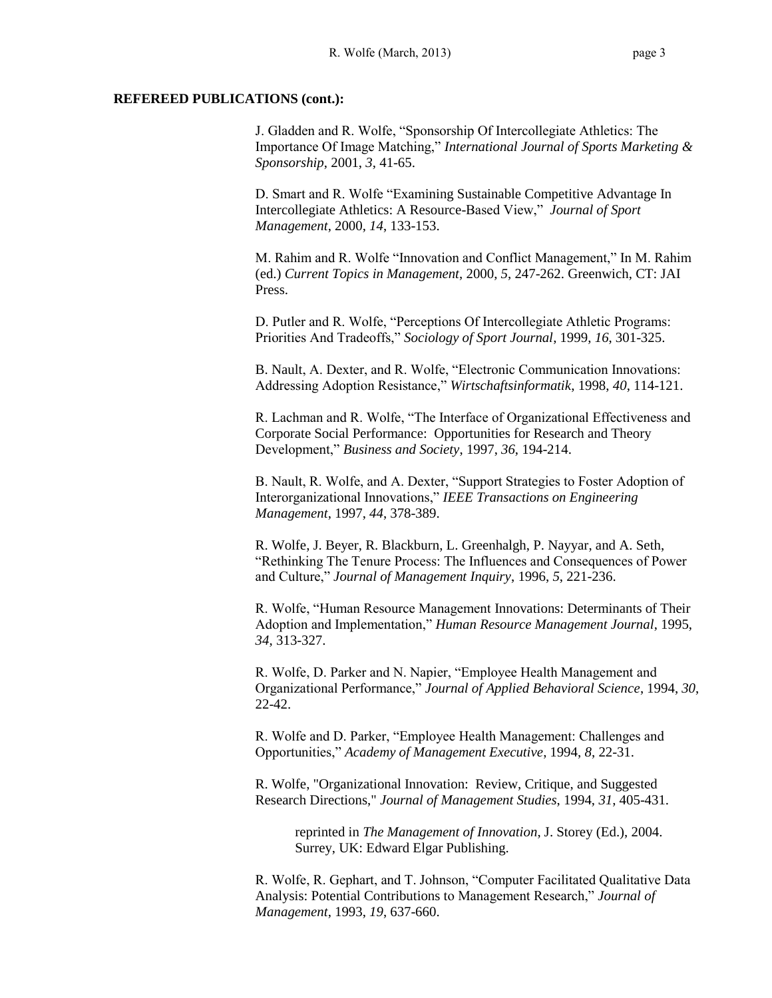#### **REFEREED PUBLICATIONS (cont.):**

J. Gladden and R. Wolfe, "Sponsorship Of Intercollegiate Athletics: The Importance Of Image Matching," *International Journal of Sports Marketing & Sponsorship*, 2001, *3*, 41-65.

D. Smart and R. Wolfe "Examining Sustainable Competitive Advantage In Intercollegiate Athletics: A Resource-Based View," *Journal of Sport Management*, 2000, *14*, 133-153.

M. Rahim and R. Wolfe "Innovation and Conflict Management," In M. Rahim (ed.) *Current Topics in Management*, 2000, *5*, 247-262. Greenwich, CT: JAI Press.

D. Putler and R. Wolfe, "Perceptions Of Intercollegiate Athletic Programs: Priorities And Tradeoffs," *Sociology of Sport Journal*, 1999, *16*, 301-325.

B. Nault, A. Dexter, and R. Wolfe, "Electronic Communication Innovations: Addressing Adoption Resistance," *Wirtschaftsinformatik*, 1998, *40*, 114-121.

R. Lachman and R. Wolfe, "The Interface of Organizational Effectiveness and Corporate Social Performance: Opportunities for Research and Theory Development," *Business and Society*, 1997, *36*, 194-214.

B. Nault, R. Wolfe, and A. Dexter, "Support Strategies to Foster Adoption of Interorganizational Innovations," *IEEE Transactions on Engineering Management*, 1997, *44*, 378-389.

R. Wolfe, J. Beyer, R. Blackburn, L. Greenhalgh, P. Nayyar, and A. Seth, "Rethinking The Tenure Process: The Influences and Consequences of Power and Culture," *Journal of Management Inquiry*, 1996, *5*, 221-236.

R. Wolfe, "Human Resource Management Innovations: Determinants of Their Adoption and Implementation," *Human Resource Management Journal*, 1995, *34*, 313-327.

R. Wolfe, D. Parker and N. Napier, "Employee Health Management and Organizational Performance," *Journal of Applied Behavioral Science*, 1994, *30*, 22-42.

R. Wolfe and D. Parker, "Employee Health Management: Challenges and Opportunities," *Academy of Management Executive*, 1994, *8*, 22-31.

R. Wolfe, "Organizational Innovation: Review, Critique, and Suggested Research Directions," *Journal of Management Studies*, 1994, *31*, 405-431.

reprinted in *The Management of Innovation*, J. Storey (Ed.), 2004. Surrey, UK: Edward Elgar Publishing.

R. Wolfe, R. Gephart, and T. Johnson, "Computer Facilitated Qualitative Data Analysis: Potential Contributions to Management Research," *Journal of Management*, 1993, *19*, 637-660.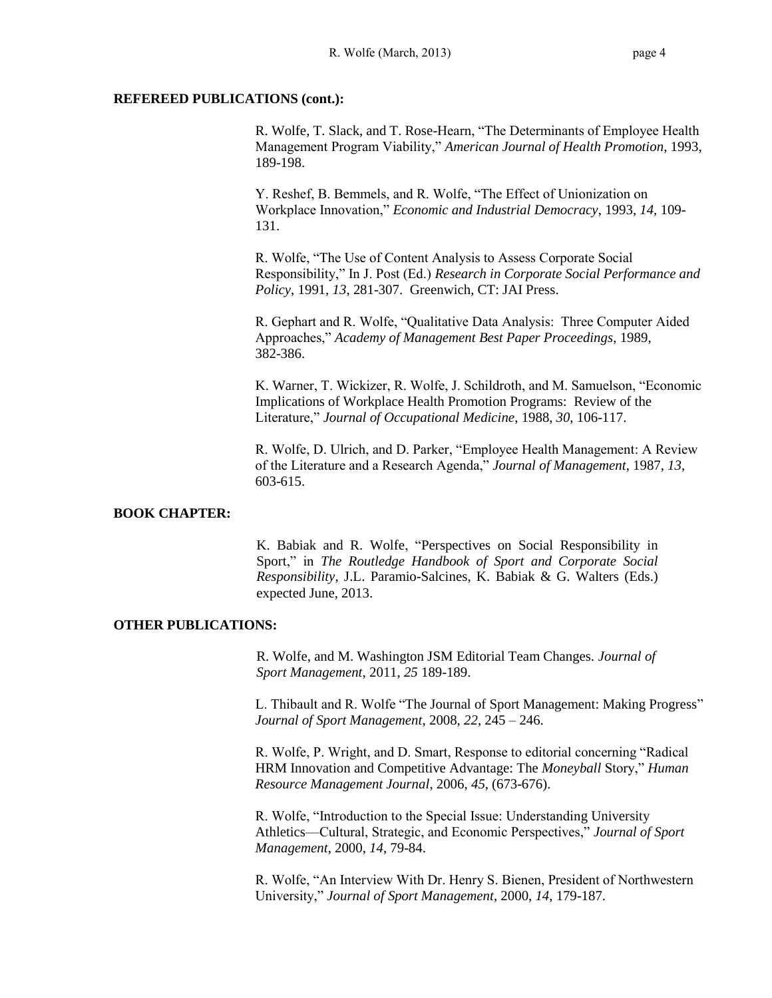#### **REFEREED PUBLICATIONS (cont.):**

R. Wolfe, T. Slack, and T. Rose-Hearn, "The Determinants of Employee Health Management Program Viability," *American Journal of Health Promotion*, 1993, 189-198.

Y. Reshef, B. Bemmels, and R. Wolfe, "The Effect of Unionization on Workplace Innovation," *Economic and Industrial Democracy*, 1993, *14*, 109- 131.

R. Wolfe, "The Use of Content Analysis to Assess Corporate Social Responsibility," In J. Post (Ed.) *Research in Corporate Social Performance and Policy*, 1991, *13*, 281-307. Greenwich, CT: JAI Press.

R. Gephart and R. Wolfe, "Qualitative Data Analysis: Three Computer Aided Approaches," *Academy of Management Best Paper Proceedings*, 1989, 382-386.

K. Warner, T. Wickizer, R. Wolfe, J. Schildroth, and M. Samuelson, "Economic Implications of Workplace Health Promotion Programs: Review of the Literature," *Journal of Occupational Medicine*, 1988, *30*, 106-117.

R. Wolfe, D. Ulrich, and D. Parker, "Employee Health Management: A Review of the Literature and a Research Agenda," *Journal of Management*, 1987, *13*, 603-615.

## **BOOK CHAPTER:**

K. Babiak and R. Wolfe, "Perspectives on Social Responsibility in Sport," in *The Routledge Handbook of Sport and Corporate Social Responsibility*, J.L. Paramio-Salcines, K. Babiak & G. Walters (Eds.) expected June, 2013.

#### **OTHER PUBLICATIONS:**

R. Wolfe, and M. Washington JSM Editorial Team Changes*. Journal of Sport Management*, 2011, *25* 189-189.

L. Thibault and R. Wolfe "The Journal of Sport Management: Making Progress" *Journal of Sport Management*, 2008, *22*, 245 – 246.

R. Wolfe, P. Wright, and D. Smart, Response to editorial concerning "Radical HRM Innovation and Competitive Advantage: The *Moneyball* Story," *Human Resource Management Journal*, 2006, *45*, (673-676).

R. Wolfe, "Introduction to the Special Issue: Understanding University Athletics—Cultural, Strategic, and Economic Perspectives," *Journal of Sport Management*, 2000, *14*, 79-84.

R. Wolfe, "An Interview With Dr. Henry S. Bienen, President of Northwestern University," *Journal of Sport Management*, 2000, *14*, 179-187.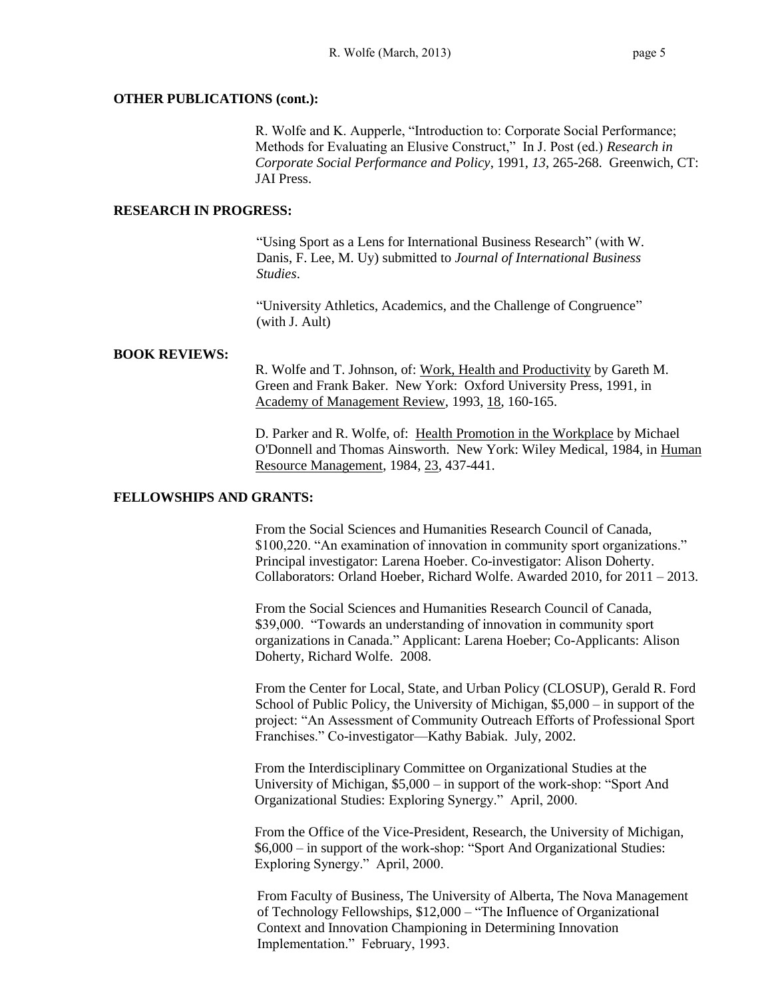#### **OTHER PUBLICATIONS (cont.):**

R. Wolfe and K. Aupperle, "Introduction to: Corporate Social Performance; Methods for Evaluating an Elusive Construct," In J. Post (ed.) *Research in Corporate Social Performance and Policy*, 1991, *13*, 265-268. Greenwich, CT: JAI Press.

#### **RESEARCH IN PROGRESS:**

"Using Sport as a Lens for International Business Research" (with W. Danis, F. Lee, M. Uy) submitted to *Journal of International Business Studies*.

"University Athletics, Academics, and the Challenge of Congruence" (with J. Ault)

### **BOOK REVIEWS:**

R. Wolfe and T. Johnson, of: Work, Health and Productivity by Gareth M. Green and Frank Baker. New York: Oxford University Press, 1991, in Academy of Management Review, 1993, 18, 160-165.

D. Parker and R. Wolfe, of: Health Promotion in the Workplace by Michael O'Donnell and Thomas Ainsworth. New York: Wiley Medical, 1984, in Human Resource Management, 1984, 23, 437-441.

#### **FELLOWSHIPS AND GRANTS:**

From the Social Sciences and Humanities Research Council of Canada, \$100,220. "An examination of innovation in community sport organizations." Principal investigator: Larena Hoeber. Co-investigator: Alison Doherty. Collaborators: Orland Hoeber, Richard Wolfe. Awarded 2010, for 2011 – 2013.

From the Social Sciences and Humanities Research Council of Canada, \$39,000. "Towards an understanding of innovation in community sport organizations in Canada." Applicant: Larena Hoeber; Co-Applicants: Alison Doherty, Richard Wolfe. 2008.

From the Center for Local, State, and Urban Policy (CLOSUP), Gerald R. Ford School of Public Policy, the University of Michigan, \$5,000 – in support of the project: "An Assessment of Community Outreach Efforts of Professional Sport Franchises." Co-investigator—Kathy Babiak. July, 2002.

From the Interdisciplinary Committee on Organizational Studies at the University of Michigan, \$5,000 – in support of the work-shop: "Sport And Organizational Studies: Exploring Synergy." April, 2000.

From the Office of the Vice-President, Research, the University of Michigan, \$6,000 – in support of the work-shop: "Sport And Organizational Studies: Exploring Synergy." April, 2000.

From Faculty of Business, The University of Alberta, The Nova Management of Technology Fellowships, \$12,000 – "The Influence of Organizational Context and Innovation Championing in Determining Innovation Implementation." February, 1993.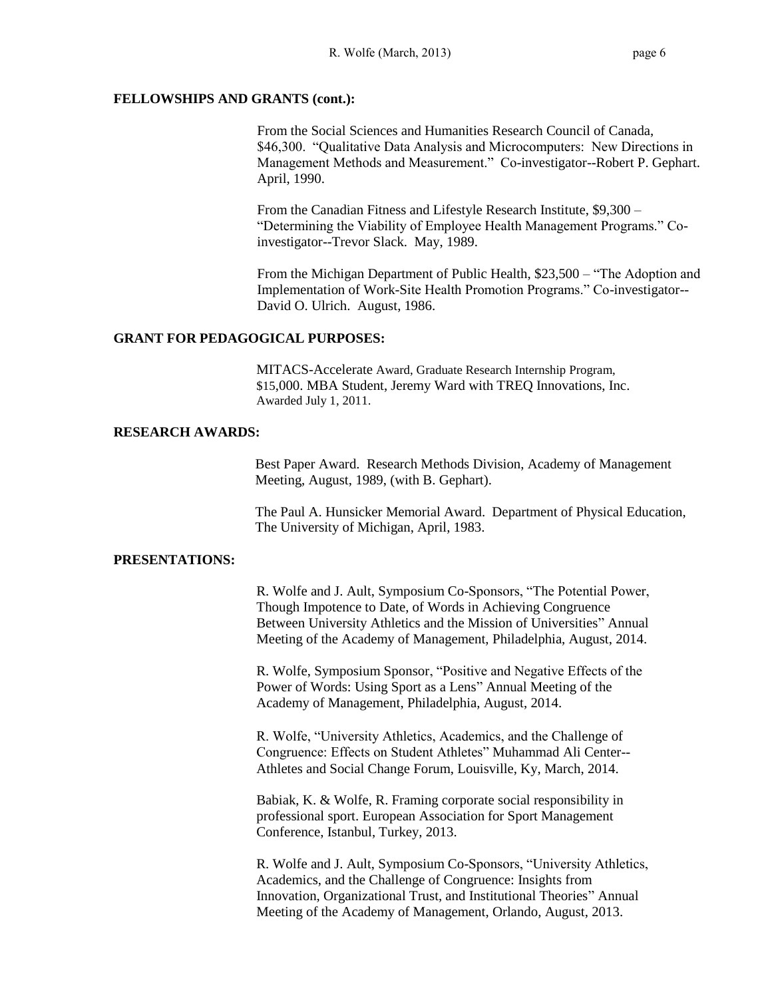#### **FELLOWSHIPS AND GRANTS (cont.):**

From the Social Sciences and Humanities Research Council of Canada, \$46,300. "Qualitative Data Analysis and Microcomputers: New Directions in Management Methods and Measurement." Co-investigator--Robert P. Gephart. April, 1990.

From the Canadian Fitness and Lifestyle Research Institute, \$9,300 – "Determining the Viability of Employee Health Management Programs." Coinvestigator--Trevor Slack. May, 1989.

From the Michigan Department of Public Health, \$23,500 – "The Adoption and Implementation of Work-Site Health Promotion Programs." Co-investigator-- David O. Ulrich. August, 1986.

#### **GRANT FOR PEDAGOGICAL PURPOSES:**

MITACS-Accelerate Award, Graduate Research Internship Program, \$15,000. MBA Student, Jeremy Ward with TREQ Innovations, Inc. Awarded July 1, 2011.

#### **RESEARCH AWARDS:**

Best Paper Award. Research Methods Division, Academy of Management Meeting, August, 1989, (with B. Gephart).

The Paul A. Hunsicker Memorial Award. Department of Physical Education, The University of Michigan, April, 1983.

#### **PRESENTATIONS:**

R. Wolfe and J. Ault, Symposium Co-Sponsors, "The Potential Power, Though Impotence to Date, of Words in Achieving Congruence Between University Athletics and the Mission of Universities" Annual Meeting of the Academy of Management, Philadelphia, August, 2014.

R. Wolfe, Symposium Sponsor, "Positive and Negative Effects of the Power of Words: Using Sport as a Lens" Annual Meeting of the Academy of Management, Philadelphia, August, 2014.

R. Wolfe, "University Athletics, Academics, and the Challenge of Congruence: Effects on Student Athletes" Muhammad Ali Center-- Athletes and Social Change Forum, Louisville, Ky, March, 2014.

Babiak, K. & Wolfe, R. Framing corporate social responsibility in professional sport. European Association for Sport Management Conference, Istanbul, Turkey, 2013.

R. Wolfe and J. Ault, Symposium Co-Sponsors, "University Athletics, Academics, and the Challenge of Congruence: Insights from Innovation, Organizational Trust, and Institutional Theories" Annual Meeting of the Academy of Management, Orlando, August, 2013.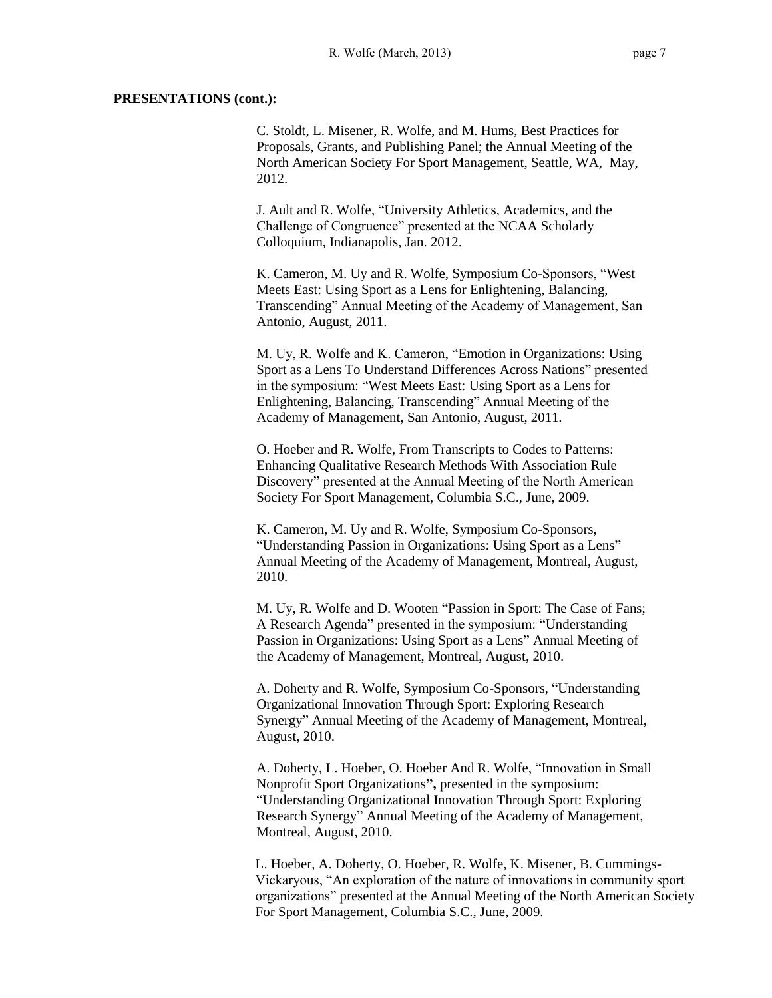C. Stoldt, L. Misener, R. Wolfe, and M. Hums, Best Practices for Proposals, Grants, and Publishing Panel; the Annual Meeting of the North American Society For Sport Management, Seattle, WA, May, 2012.

J. Ault and R. Wolfe, "University Athletics, Academics, and the Challenge of Congruence" presented at the NCAA Scholarly Colloquium, Indianapolis, Jan. 2012.

K. Cameron, M. Uy and R. Wolfe, Symposium Co-Sponsors, "West Meets East: Using Sport as a Lens for Enlightening, Balancing, Transcending" Annual Meeting of the Academy of Management, San Antonio, August, 2011.

M. Uy, R. Wolfe and K. Cameron, "Emotion in Organizations: Using Sport as a Lens To Understand Differences Across Nations" presented in the symposium: "West Meets East: Using Sport as a Lens for Enlightening, Balancing, Transcending" Annual Meeting of the Academy of Management, San Antonio, August, 2011.

O. Hoeber and R. Wolfe, From Transcripts to Codes to Patterns: Enhancing Qualitative Research Methods With Association Rule Discovery" presented at the Annual Meeting of the North American Society For Sport Management, Columbia S.C., June, 2009.

K. Cameron, M. Uy and R. Wolfe, Symposium Co-Sponsors, "Understanding Passion in Organizations: Using Sport as a Lens" Annual Meeting of the Academy of Management, Montreal, August, 2010.

M. Uy, R. Wolfe and D. Wooten "Passion in Sport: The Case of Fans; A Research Agenda" presented in the symposium: "Understanding Passion in Organizations: Using Sport as a Lens" Annual Meeting of the Academy of Management, Montreal, August, 2010.

A. Doherty and R. Wolfe, Symposium Co-Sponsors, "Understanding Organizational Innovation Through Sport: Exploring Research Synergy" Annual Meeting of the Academy of Management, Montreal, August, 2010.

A. Doherty, L. Hoeber, O. Hoeber And R. Wolfe, "Innovation in Small Nonprofit Sport Organizations**",** presented in the symposium: "Understanding Organizational Innovation Through Sport: Exploring Research Synergy" Annual Meeting of the Academy of Management, Montreal, August, 2010.

L. Hoeber, A. Doherty, O. Hoeber, R. Wolfe, K. Misener, B. Cummings-Vickaryous, "An exploration of the nature of innovations in community sport organizations" presented at the Annual Meeting of the North American Society For Sport Management, Columbia S.C., June, 2009.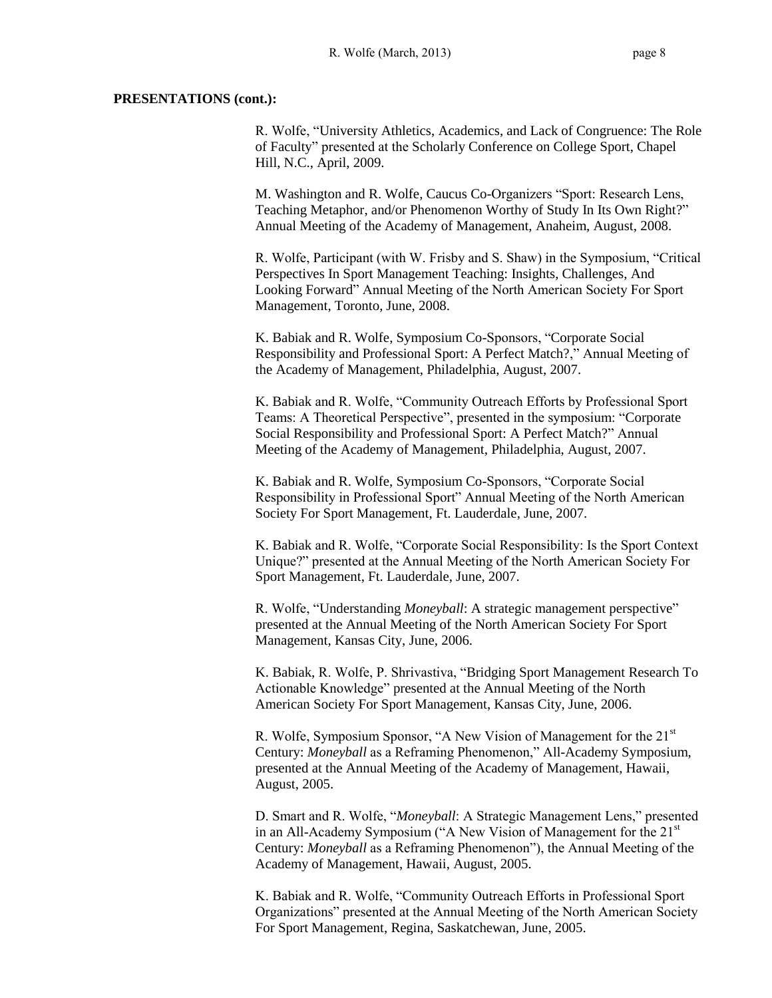R. Wolfe, "University Athletics, Academics, and Lack of Congruence: The Role of Faculty" presented at the Scholarly Conference on College Sport, Chapel Hill, N.C., April, 2009.

M. Washington and R. Wolfe, Caucus Co-Organizers "Sport: Research Lens, Teaching Metaphor, and/or Phenomenon Worthy of Study In Its Own Right?" Annual Meeting of the Academy of Management, Anaheim, August, 2008.

R. Wolfe, Participant (with W. Frisby and S. Shaw) in the Symposium, "Critical Perspectives In Sport Management Teaching: Insights, Challenges, And Looking Forward" Annual Meeting of the North American Society For Sport Management, Toronto, June, 2008.

K. Babiak and R. Wolfe, Symposium Co-Sponsors, "Corporate Social Responsibility and Professional Sport: A Perfect Match?," Annual Meeting of the Academy of Management, Philadelphia, August, 2007.

K. Babiak and R. Wolfe, "Community Outreach Efforts by Professional Sport Teams: A Theoretical Perspective", presented in the symposium: "Corporate Social Responsibility and Professional Sport: A Perfect Match?" Annual Meeting of the Academy of Management, Philadelphia, August, 2007.

K. Babiak and R. Wolfe, Symposium Co-Sponsors, "Corporate Social Responsibility in Professional Sport" Annual Meeting of the North American Society For Sport Management, Ft. Lauderdale, June, 2007.

K. Babiak and R. Wolfe, "Corporate Social Responsibility: Is the Sport Context Unique?" presented at the Annual Meeting of the North American Society For Sport Management, Ft. Lauderdale, June, 2007.

R. Wolfe, "Understanding *Moneyball*: A strategic management perspective" presented at the Annual Meeting of the North American Society For Sport Management, Kansas City, June, 2006.

K. Babiak, R. Wolfe, P. Shrivastiva, "Bridging Sport Management Research To Actionable Knowledge" presented at the Annual Meeting of the North American Society For Sport Management, Kansas City, June, 2006.

R. Wolfe, Symposium Sponsor, "A New Vision of Management for the 21<sup>st</sup> Century: *Moneyball* as a Reframing Phenomenon," All-Academy Symposium, presented at the Annual Meeting of the Academy of Management, Hawaii, August, 2005.

D. Smart and R. Wolfe, "*Moneyball*: A Strategic Management Lens," presented in an All-Academy Symposium ("A New Vision of Management for the 21<sup>st</sup> Century: *Moneyball* as a Reframing Phenomenon"), the Annual Meeting of the Academy of Management, Hawaii, August, 2005.

K. Babiak and R. Wolfe, "Community Outreach Efforts in Professional Sport Organizations" presented at the Annual Meeting of the North American Society For Sport Management, Regina, Saskatchewan, June, 2005.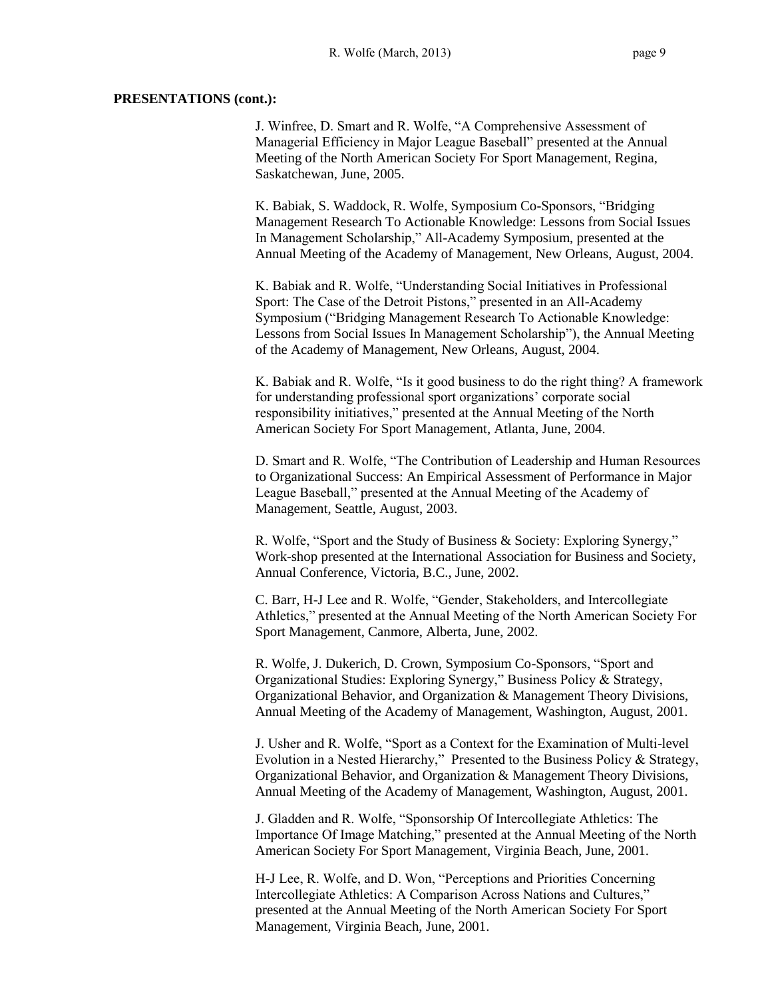J. Winfree, D. Smart and R. Wolfe, "A Comprehensive Assessment of Managerial Efficiency in Major League Baseball" presented at the Annual Meeting of the North American Society For Sport Management, Regina, Saskatchewan, June, 2005.

K. Babiak, S. Waddock, R. Wolfe, Symposium Co-Sponsors, "Bridging Management Research To Actionable Knowledge: Lessons from Social Issues In Management Scholarship," All-Academy Symposium, presented at the Annual Meeting of the Academy of Management, New Orleans, August, 2004.

K. Babiak and R. Wolfe, "Understanding Social Initiatives in Professional Sport: The Case of the Detroit Pistons," presented in an All-Academy Symposium ("Bridging Management Research To Actionable Knowledge: Lessons from Social Issues In Management Scholarship"), the Annual Meeting of the Academy of Management, New Orleans, August, 2004.

K. Babiak and R. Wolfe, "Is it good business to do the right thing? A framework for understanding professional sport organizations' corporate social responsibility initiatives," presented at the Annual Meeting of the North American Society For Sport Management, Atlanta, June, 2004.

D. Smart and R. Wolfe, "The Contribution of Leadership and Human Resources to Organizational Success: An Empirical Assessment of Performance in Major League Baseball," presented at the Annual Meeting of the Academy of Management, Seattle, August, 2003.

R. Wolfe, "Sport and the Study of Business & Society: Exploring Synergy," Work-shop presented at the International Association for Business and Society, Annual Conference, Victoria, B.C., June, 2002.

C. Barr, H-J Lee and R. Wolfe, "Gender, Stakeholders, and Intercollegiate Athletics," presented at the Annual Meeting of the North American Society For Sport Management, Canmore, Alberta, June, 2002.

R. Wolfe, J. Dukerich, D. Crown, Symposium Co-Sponsors, "Sport and Organizational Studies: Exploring Synergy," Business Policy & Strategy, Organizational Behavior, and Organization & Management Theory Divisions, Annual Meeting of the Academy of Management, Washington, August, 2001.

J. Usher and R. Wolfe, "Sport as a Context for the Examination of Multi-level Evolution in a Nested Hierarchy," Presented to the Business Policy & Strategy, Organizational Behavior, and Organization & Management Theory Divisions, Annual Meeting of the Academy of Management, Washington, August, 2001.

J. Gladden and R. Wolfe, "Sponsorship Of Intercollegiate Athletics: The Importance Of Image Matching," presented at the Annual Meeting of the North American Society For Sport Management, Virginia Beach, June, 2001.

H-J Lee, R. Wolfe, and D. Won, "Perceptions and Priorities Concerning Intercollegiate Athletics: A Comparison Across Nations and Cultures," presented at the Annual Meeting of the North American Society For Sport Management, Virginia Beach, June, 2001.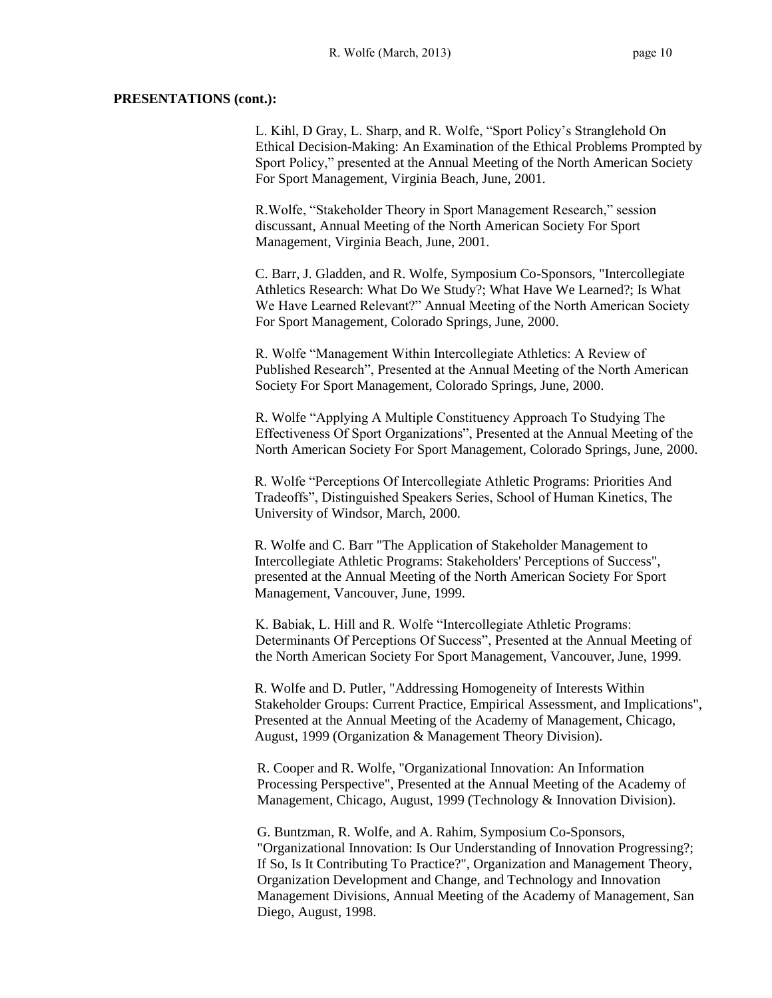L. Kihl, D Gray, L. Sharp, and R. Wolfe, "Sport Policy's Stranglehold On Ethical Decision-Making: An Examination of the Ethical Problems Prompted by Sport Policy," presented at the Annual Meeting of the North American Society For Sport Management, Virginia Beach, June, 2001.

R.Wolfe, "Stakeholder Theory in Sport Management Research," session discussant, Annual Meeting of the North American Society For Sport Management, Virginia Beach, June, 2001.

C. Barr, J. Gladden, and R. Wolfe, Symposium Co-Sponsors, "Intercollegiate Athletics Research: What Do We Study?; What Have We Learned?; Is What We Have Learned Relevant?" Annual Meeting of the North American Society For Sport Management, Colorado Springs, June, 2000.

R. Wolfe "Management Within Intercollegiate Athletics: A Review of Published Research", Presented at the Annual Meeting of the North American Society For Sport Management, Colorado Springs, June, 2000.

R. Wolfe "Applying A Multiple Constituency Approach To Studying The Effectiveness Of Sport Organizations", Presented at the Annual Meeting of the North American Society For Sport Management, Colorado Springs, June, 2000.

R. Wolfe "Perceptions Of Intercollegiate Athletic Programs: Priorities And Tradeoffs", Distinguished Speakers Series, School of Human Kinetics, The University of Windsor, March, 2000.

R. Wolfe and C. Barr "The Application of Stakeholder Management to Intercollegiate Athletic Programs: Stakeholders' Perceptions of Success", presented at the Annual Meeting of the North American Society For Sport Management, Vancouver, June, 1999.

K. Babiak, L. Hill and R. Wolfe "Intercollegiate Athletic Programs: Determinants Of Perceptions Of Success", Presented at the Annual Meeting of the North American Society For Sport Management, Vancouver, June, 1999.

R. Wolfe and D. Putler, "Addressing Homogeneity of Interests Within Stakeholder Groups: Current Practice, Empirical Assessment, and Implications", Presented at the Annual Meeting of the Academy of Management, Chicago, August, 1999 (Organization & Management Theory Division).

R. Cooper and R. Wolfe, "Organizational Innovation: An Information Processing Perspective", Presented at the Annual Meeting of the Academy of Management, Chicago, August, 1999 (Technology & Innovation Division).

G. Buntzman, R. Wolfe, and A. Rahim, Symposium Co-Sponsors, "Organizational Innovation: Is Our Understanding of Innovation Progressing?; If So, Is It Contributing To Practice?", Organization and Management Theory, Organization Development and Change, and Technology and Innovation Management Divisions, Annual Meeting of the Academy of Management, San Diego, August, 1998.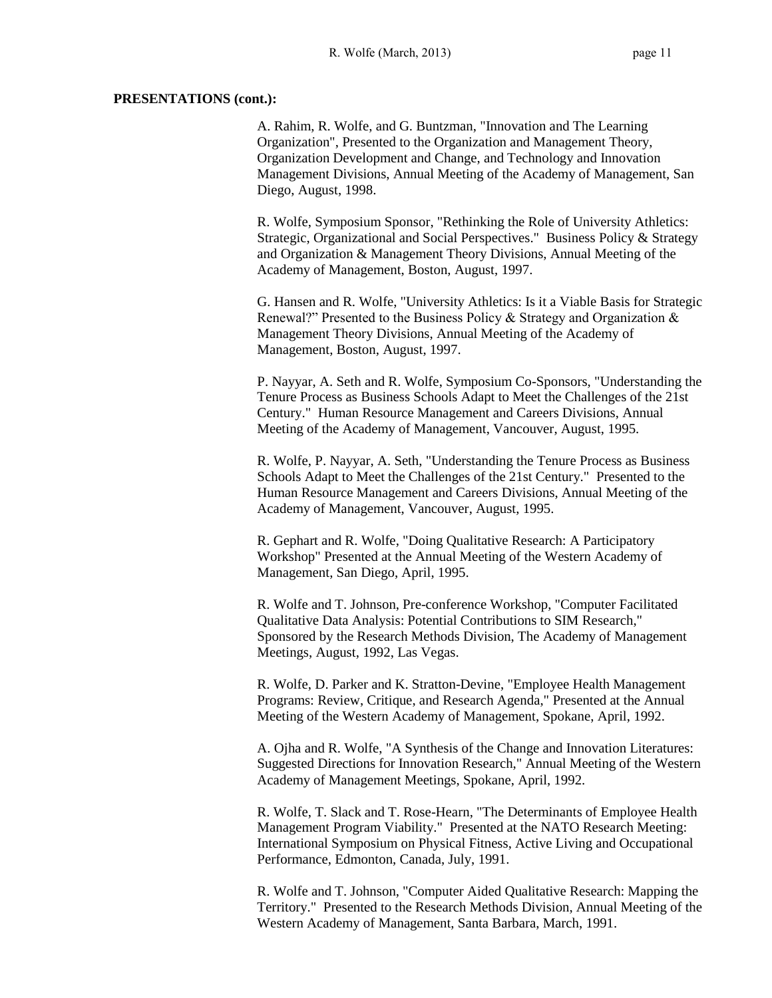A. Rahim, R. Wolfe, and G. Buntzman, "Innovation and The Learning Organization", Presented to the Organization and Management Theory, Organization Development and Change, and Technology and Innovation Management Divisions, Annual Meeting of the Academy of Management, San Diego, August, 1998.

R. Wolfe, Symposium Sponsor, "Rethinking the Role of University Athletics: Strategic, Organizational and Social Perspectives." Business Policy & Strategy and Organization & Management Theory Divisions, Annual Meeting of the Academy of Management, Boston, August, 1997.

G. Hansen and R. Wolfe, "University Athletics: Is it a Viable Basis for Strategic Renewal?" Presented to the Business Policy & Strategy and Organization & Management Theory Divisions, Annual Meeting of the Academy of Management, Boston, August, 1997.

P. Nayyar, A. Seth and R. Wolfe, Symposium Co-Sponsors, "Understanding the Tenure Process as Business Schools Adapt to Meet the Challenges of the 21st Century." Human Resource Management and Careers Divisions, Annual Meeting of the Academy of Management, Vancouver, August, 1995.

R. Wolfe, P. Nayyar, A. Seth, "Understanding the Tenure Process as Business Schools Adapt to Meet the Challenges of the 21st Century." Presented to the Human Resource Management and Careers Divisions, Annual Meeting of the Academy of Management, Vancouver, August, 1995.

R. Gephart and R. Wolfe, "Doing Qualitative Research: A Participatory Workshop" Presented at the Annual Meeting of the Western Academy of Management, San Diego, April, 1995.

R. Wolfe and T. Johnson, Pre-conference Workshop, "Computer Facilitated Qualitative Data Analysis: Potential Contributions to SIM Research," Sponsored by the Research Methods Division, The Academy of Management Meetings, August, 1992, Las Vegas.

R. Wolfe, D. Parker and K. Stratton-Devine, "Employee Health Management Programs: Review, Critique, and Research Agenda," Presented at the Annual Meeting of the Western Academy of Management, Spokane, April, 1992.

A. Ojha and R. Wolfe, "A Synthesis of the Change and Innovation Literatures: Suggested Directions for Innovation Research," Annual Meeting of the Western Academy of Management Meetings, Spokane, April, 1992.

R. Wolfe, T. Slack and T. Rose-Hearn, "The Determinants of Employee Health Management Program Viability." Presented at the NATO Research Meeting: International Symposium on Physical Fitness, Active Living and Occupational Performance, Edmonton, Canada, July, 1991.

R. Wolfe and T. Johnson, "Computer Aided Qualitative Research: Mapping the Territory." Presented to the Research Methods Division, Annual Meeting of the Western Academy of Management, Santa Barbara, March, 1991.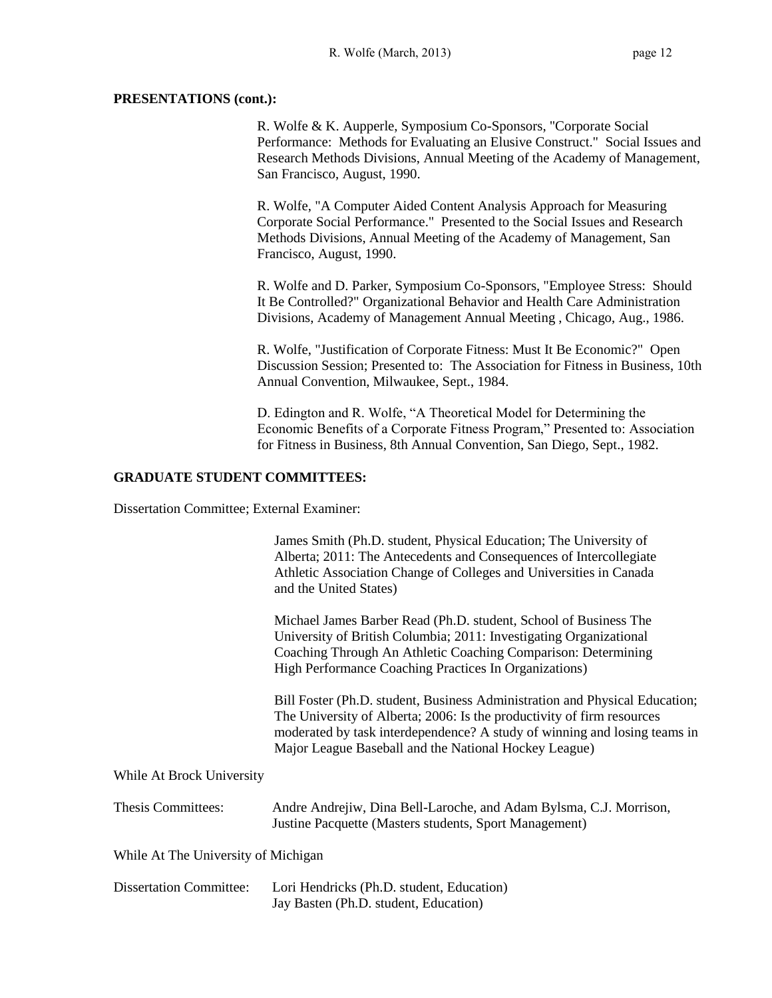R. Wolfe & K. Aupperle, Symposium Co-Sponsors, "Corporate Social Performance: Methods for Evaluating an Elusive Construct." Social Issues and Research Methods Divisions, Annual Meeting of the Academy of Management, San Francisco, August, 1990.

R. Wolfe, "A Computer Aided Content Analysis Approach for Measuring Corporate Social Performance." Presented to the Social Issues and Research Methods Divisions, Annual Meeting of the Academy of Management, San Francisco, August, 1990.

R. Wolfe and D. Parker, Symposium Co-Sponsors, "Employee Stress: Should It Be Controlled?" Organizational Behavior and Health Care Administration Divisions, Academy of Management Annual Meeting , Chicago, Aug., 1986.

R. Wolfe, "Justification of Corporate Fitness: Must It Be Economic?" Open Discussion Session; Presented to: The Association for Fitness in Business, 10th Annual Convention, Milwaukee, Sept., 1984.

D. Edington and R. Wolfe, "A Theoretical Model for Determining the Economic Benefits of a Corporate Fitness Program," Presented to: Association for Fitness in Business, 8th Annual Convention, San Diego, Sept., 1982.

## **GRADUATE STUDENT COMMITTEES:**

Dissertation Committee; External Examiner:

|                                     | James Smith (Ph.D. student, Physical Education; The University of<br>Alberta; 2011: The Antecedents and Consequences of Intercollegiate<br>Athletic Association Change of Colleges and Universities in Canada<br>and the United States)                                                     |
|-------------------------------------|---------------------------------------------------------------------------------------------------------------------------------------------------------------------------------------------------------------------------------------------------------------------------------------------|
|                                     | Michael James Barber Read (Ph.D. student, School of Business The<br>University of British Columbia; 2011: Investigating Organizational<br>Coaching Through An Athletic Coaching Comparison: Determining<br>High Performance Coaching Practices In Organizations)                            |
|                                     | Bill Foster (Ph.D. student, Business Administration and Physical Education;<br>The University of Alberta; 2006: Is the productivity of firm resources<br>moderated by task interdependence? A study of winning and losing teams in<br>Major League Baseball and the National Hockey League) |
| While At Brock University           |                                                                                                                                                                                                                                                                                             |
| Thesis Committees:                  | Andre Andrejiw, Dina Bell-Laroche, and Adam Bylsma, C.J. Morrison,<br>Justine Pacquette (Masters students, Sport Management)                                                                                                                                                                |
| While At The University of Michigan |                                                                                                                                                                                                                                                                                             |
| <b>Dissertation Committee:</b>      | Lori Hendricks (Ph.D. student, Education)<br>Jay Basten (Ph.D. student, Education)                                                                                                                                                                                                          |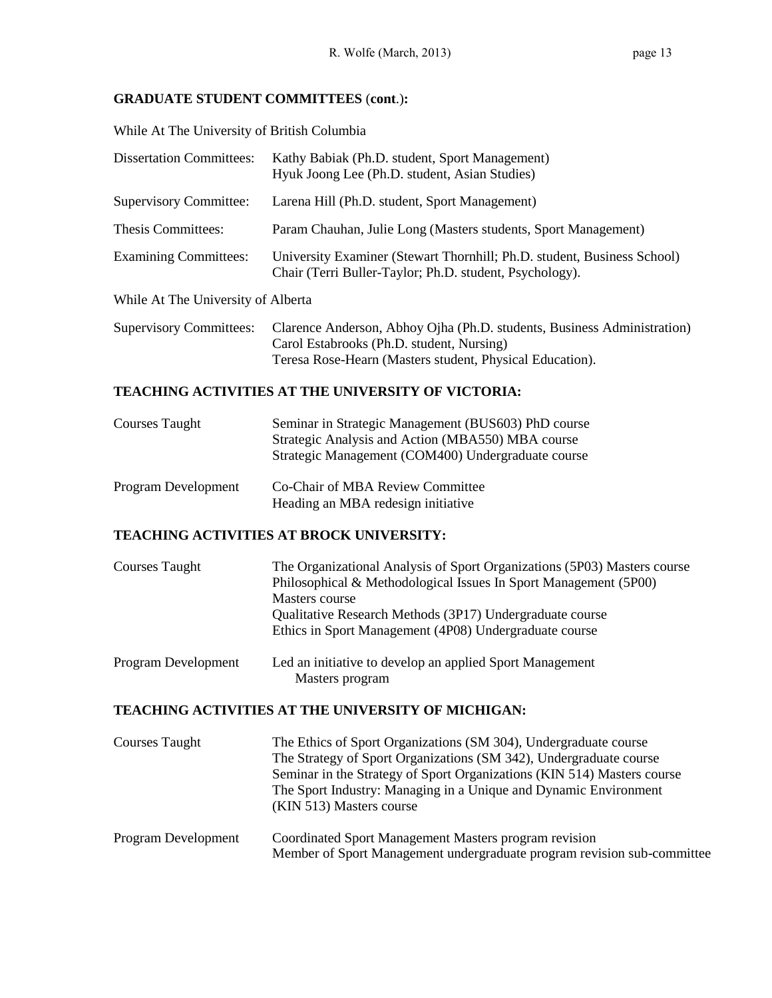## **GRADUATE STUDENT COMMITTEES** (**cont**.)**:**

While At The University of British Columbia

| <b>Dissertation Committees:</b>    | Kathy Babiak (Ph.D. student, Sport Management)<br>Hyuk Joong Lee (Ph.D. student, Asian Studies)                                                                                  |
|------------------------------------|----------------------------------------------------------------------------------------------------------------------------------------------------------------------------------|
| <b>Supervisory Committee:</b>      | Larena Hill (Ph.D. student, Sport Management)                                                                                                                                    |
| Thesis Committees:                 | Param Chauhan, Julie Long (Masters students, Sport Management)                                                                                                                   |
| <b>Examining Committees:</b>       | University Examiner (Stewart Thornhill; Ph.D. student, Business School)<br>Chair (Terri Buller-Taylor; Ph.D. student, Psychology).                                               |
| While At The University of Alberta |                                                                                                                                                                                  |
| <b>Supervisory Committees:</b>     | Clarence Anderson, Abhoy Ojha (Ph.D. students, Business Administration)<br>Carol Estabrooks (Ph.D. student, Nursing)<br>Teresa Rose-Hearn (Masters student, Physical Education). |

## **TEACHING ACTIVITIES AT THE UNIVERSITY OF VICTORIA:**

| Courses Taught             | Seminar in Strategic Management (BUS603) PhD course<br>Strategic Analysis and Action (MBA550) MBA course<br>Strategic Management (COM400) Undergraduate course |
|----------------------------|----------------------------------------------------------------------------------------------------------------------------------------------------------------|
| <b>Program Development</b> | Co-Chair of MBA Review Committee<br>Heading an MBA redesign initiative                                                                                         |

## **TEACHING ACTIVITIES AT BROCK UNIVERSITY:**

| Courses Taught      | The Organizational Analysis of Sport Organizations (5P03) Masters course<br>Philosophical & Methodological Issues In Sport Management (5P00)<br>Masters course |
|---------------------|----------------------------------------------------------------------------------------------------------------------------------------------------------------|
|                     | Qualitative Research Methods (3P17) Undergraduate course<br>Ethics in Sport Management (4P08) Undergraduate course                                             |
| Program Development | Led an initiative to develop an applied Sport Management<br>Mostors neogram                                                                                    |

# **TEACHING ACTIVITIES AT THE UNIVERSITY OF MICHIGAN:**

Masters program

| <b>Courses Taught</b> | The Ethics of Sport Organizations (SM 304), Undergraduate course<br>The Strategy of Sport Organizations (SM 342), Undergraduate course<br>Seminar in the Strategy of Sport Organizations (KIN 514) Masters course<br>The Sport Industry: Managing in a Unique and Dynamic Environment<br>(KIN 513) Masters course |
|-----------------------|-------------------------------------------------------------------------------------------------------------------------------------------------------------------------------------------------------------------------------------------------------------------------------------------------------------------|
| Program Development   | Coordinated Sport Management Masters program revision<br>Member of Sport Management undergraduate program revision sub-committee                                                                                                                                                                                  |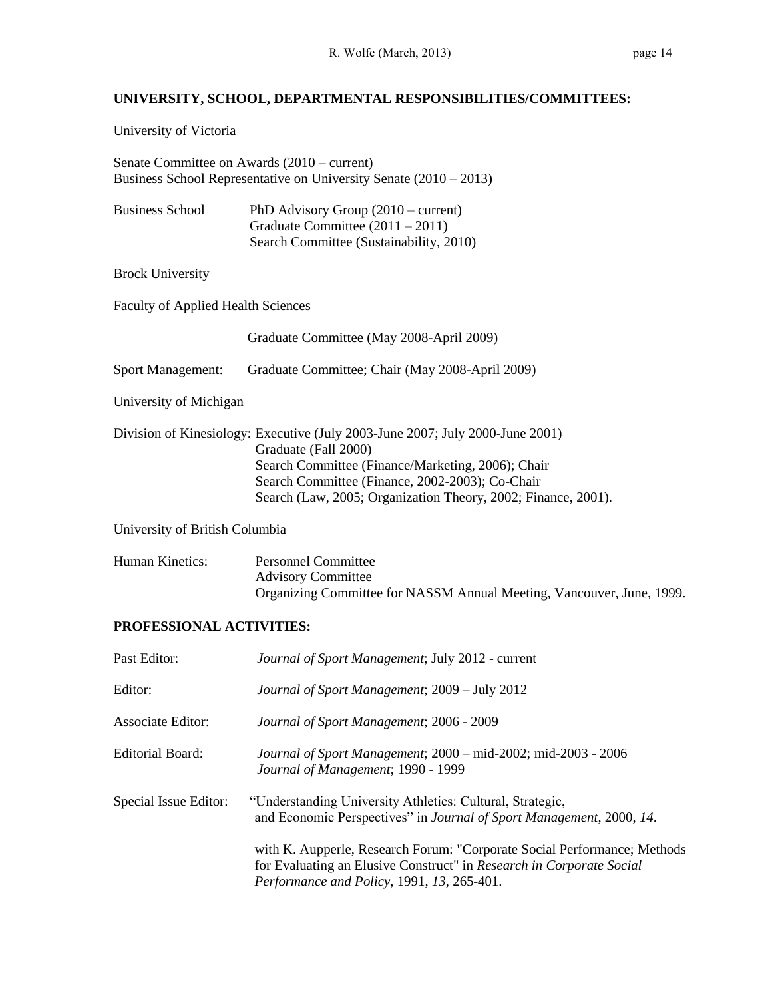# **UNIVERSITY, SCHOOL, DEPARTMENTAL RESPONSIBILITIES/COMMITTEES:**

University of Victoria

Senate Committee on Awards (2010 – current) Business School Representative on University Senate (2010 – 2013)

| <b>Business School</b> | PhD Advisory Group $(2010 - current)$   |
|------------------------|-----------------------------------------|
|                        | Graduate Committee $(2011 – 2011)$      |
|                        | Search Committee (Sustainability, 2010) |

Brock University

Faculty of Applied Health Sciences

|                                | Graduate Committee (May 2008-April 2009)                                                                                                                                                                                                                                       |
|--------------------------------|--------------------------------------------------------------------------------------------------------------------------------------------------------------------------------------------------------------------------------------------------------------------------------|
| <b>Sport Management:</b>       | Graduate Committee; Chair (May 2008-April 2009)                                                                                                                                                                                                                                |
| University of Michigan         |                                                                                                                                                                                                                                                                                |
|                                | Division of Kinesiology: Executive (July 2003-June 2007; July 2000-June 2001)<br>Graduate (Fall 2000)<br>Search Committee (Finance/Marketing, 2006); Chair<br>Search Committee (Finance, 2002-2003); Co-Chair<br>Search (Law, 2005; Organization Theory, 2002; Finance, 2001). |
| University of British Columbia |                                                                                                                                                                                                                                                                                |

| Human Kinetics: | Personnel Committee                                                   |
|-----------------|-----------------------------------------------------------------------|
|                 | <b>Advisory Committee</b>                                             |
|                 | Organizing Committee for NASSM Annual Meeting, Vancouver, June, 1999. |

## **PROFESSIONAL ACTIVITIES:**

| Past Editor:             | Journal of Sport Management; July 2012 - current                                                                                                                                               |
|--------------------------|------------------------------------------------------------------------------------------------------------------------------------------------------------------------------------------------|
| Editor:                  | Journal of Sport Management; 2009 - July 2012                                                                                                                                                  |
| <b>Associate Editor:</b> | Journal of Sport Management; 2006 - 2009                                                                                                                                                       |
| <b>Editorial Board:</b>  | Journal of Sport Management; 2000 - mid-2002; mid-2003 - 2006<br>Journal of Management; 1990 - 1999                                                                                            |
| Special Issue Editor:    | "Understanding University Athletics: Cultural, Strategic,<br>and Economic Perspectives" in Journal of Sport Management, 2000, 14.                                                              |
|                          | with K. Aupperle, Research Forum: "Corporate Social Performance; Methods<br>for Evaluating an Elusive Construct" in Research in Corporate Social<br>Performance and Policy, 1991, 13, 265-401. |